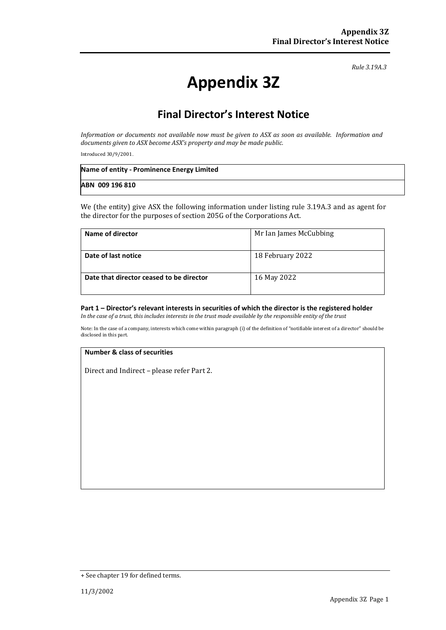*Rule 3.19A.3*

# **Appendix 3Z**

# **Final Director's Interest Notice**

*Information or documents not available now must be given to ASX as soon as available. Information and documents given to ASX become ASX's property and may be made public.*

Introduced 30/9/2001.

| Name of entity - Prominence Energy Limited |  |
|--------------------------------------------|--|
| ABN 009 196 810                            |  |

We (the entity) give ASX the following information under listing rule 3.19A.3 and as agent for the director for the purposes of section 205G of the Corporations Act.

| Name of director                         | Mr Ian James McCubbing |
|------------------------------------------|------------------------|
| Date of last notice                      | 18 February 2022       |
| Date that director ceased to be director | 16 May 2022            |

### **Part 1 – Director's relevant interests in securities of which the director is the registered holder**

*In the case of a trust, this includes interests in the trust made available by the responsible entity of the trust*

Note: In the case of a company, interests which come within paragraph (i) of the definition of "notifiable interest of a director" should be disclosed in this part.

#### **Number & class of securities**

Direct and Indirect – please refer Part 2.

<sup>+</sup> See chapter 19 for defined terms.